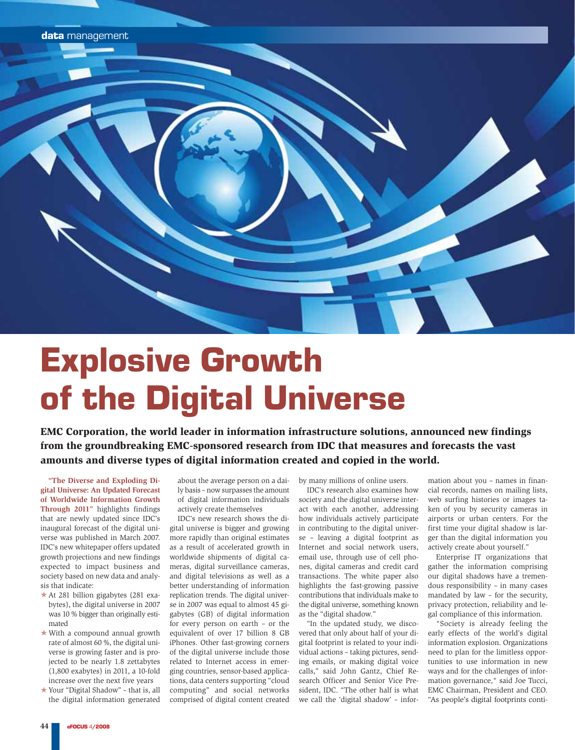

## Explosive Growth of the Digital Universe

EMC Corporation, the world leader in information infrastructure solutions, announced new findings from the groundbreaking EMC-sponsored research from IDC that measures and forecasts the vast amounts and diverse types of digital information created and copied in the world.

**"The Diverse and Exploding Di**  gital Universe: An Updated Forecast **of Worldwide Information Growth Through 2011"** highlights findings that are newly updated since IDC's inaugural forecast of the digital universe was published in March 2007. IDC's new whitepaper offers updated growth projections and new findings expected to impact business and society based on new data and analysis that indicate:

- \* At 281 billion gigabytes (281 exabytes), the digital universe in 2007 was 10 % bigger than originally estimated
- With a compound annual growth rate of almost 60 %, the digital universe is growing faster and is projected to be nearly 1.8 zettabytes (1,800 exabytes) in 2011, a 10-fold increase over the next five years
- Your "Digital Shadow" that is, all the digital information generated

about the average person on a daily basis – now surpasses the amount of digital information individuals actively create themselves

IDC's new research shows the digital universe is bigger and growing more rapidly than original estimates as a result of accelerated growth in worldwide shipments of digital cameras, digital surveillance cameras, and digital televisions as well as a better understanding of information replication trends. The digital universe in 2007 was equal to almost 45 gigabytes (GB) of digital information for every person on earth – or the equivalent of over 17 billion 8 GB iPhones. Other fast-growing corners of the digital universe include those related to Internet access in emerging countries, sensor-based applications, data centers supporting "cloud computing" and social networks comprised of digital content created

by many millions of online users.

IDC's research also examines how society and the digital universe interact with each another, addressing how individuals actively participate in contributing to the digital universe – leaving a digital footprint as Internet and social network users, email use, through use of cell phones, digital cameras and credit card transactions. The white paper also highlights the fast-growing passive contributions that individuals make to the digital universe, something known as the "digital shadow."

"In the updated study, we discovered that only about half of your digital footprint is related to your individual actions – taking pictures, sending emails, or making digital voice calls," said John Gantz, Chief Research Officer and Senior Vice President, IDC. "The other half is what we call the 'digital shadow' – information about you – names in financial records, names on mailing lists, web surfing histories or images taken of you by security cameras in airports or urban centers. For the first time your digital shadow is larger than the digital information you actively create about yourself."

Enterprise IT organizations that gather the information comprising our digital shadows have a tremendous responsibility – in many cases mandated by law – for the security, privacy protection, reliability and legal compliance of this information.

"Society is already feeling the early effects of the world's digital information explosion. Organizations need to plan for the limitless opportunities to use information in new ways and for the challenges of information governance," said Joe Tucci, EMC Chairman, President and CEO. "As people's digital footprints conti